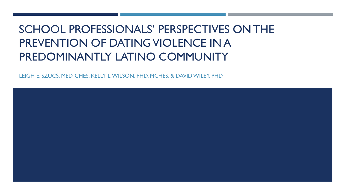# SCHOOL PROFESSIONALS' PERSPECTIVES ON THE PREVENTION OF DATING VIOLENCE IN A PREDOMINANTLY LATINO COMMUNITY

LEIGH E. SZUCS, MED, CHES, KELLY L. WILSON, PHD, MCHES, & DAVID WILEY, PHD

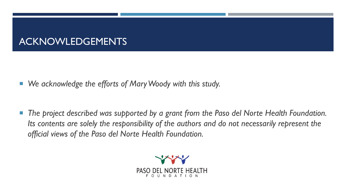## ACKNOWLEDGEMENTS

- *We acknowledge the efforts of Mary Woody with this study.*
- The project described was supported by a grant from the Paso del Norte Health Foundation. *Its contents are solely the responsibility of the authors and do not necessarily represent the official views of the Paso del Norte Health Foundation.*

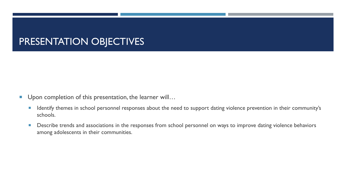### PRESENTATION OBJECTIVES

- Upon completion of this presentation, the learner will...
	- **If Identify themes in school personnel responses about the need to support dating violence prevention in their community's** schools.
	- **Describe trends and associations in the responses from school personnel on ways to improve dating violence behaviors** among adolescents in their communities.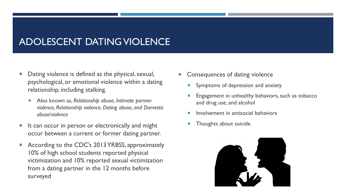# ADOLESCENT DATING VIOLENCE

- Dating violence is defined as the physical, sexual, psychological, or emotional violence within a dating relationship, including stalking.
	- Also known as, *Relationship abuse, Intimate partner violence, Relationship violence, Dating abuse, and Domestic abuse/violence*
- $\blacksquare$  It can occur in person or electronically and might occur between a current or former dating partner.
- According to the CDC's 2013 YRBSS, approximately 10% of high school students reported physical victimization and 10% reported sexual victimization from a dating partner in the 12 months before surveyed
- Consequences of dating violence
	- **Symptoms of depression and anxiety**
	- Engagement in unhealthy behaviors, such as tobacco and drug use, and alcohol
	- Involvement in antisocial behaviors
	- Thoughts about suicide

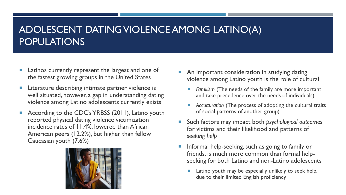# ADOLESCENT DATING VIOLENCE AMONG LATINO(A) POPULATIONS

- **Latinos currently represent the largest and one of** the fastest growing groups in the United States
- **EXTE:** Literature describing intimate partner violence is well situated, however, a gap in understanding dating violence among Latino adolescents currently exists
- According to the CDC's YRBSS (2011), Latino youth reported physical dating violence victimization incidence rates of 11.4%, lowered than African American peers (12.2%), but higher than fellow Caucasian youth (7.6%)



- An important consideration in studying dating violence among Latino youth is the role of cultural
	- *Familism* (The needs of the family are more important and take precedence over the needs of individuals)
	- *Acculturation* (The process of adopting the cultural traits of social patterns of another group)
- Such factors may impact both *psychological outcomes* for victims and their likelihood and patterns of *seeking help*
- Informal help-seeking, such as going to family or friends, is much more common than formal helpseeking for both Latino and non-Latino adolescents
	- Latino youth may be especially unlikely to seek help, due to their limited English proficiency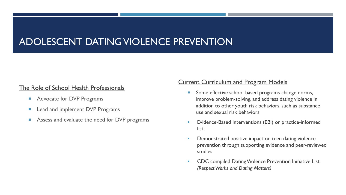## ADOLESCENT DATING VIOLENCE PREVENTION

### The Role of School Health Professionals

- **Advocate for DVP Programs**
- **Lead and implement DVP Programs**
- **Assess and evaluate the need for DVP programs**

### Current Curriculum and Program Models

- Some effective school-based programs change norms, improve problem-solving, and address dating violence in addition to other youth risk behaviors, such as substance use and sexual risk behaviors
- **E**vidence-Based Interventions (EBI) or practice-informed list
- **Demonstrated positive impact on teen dating violence** prevention through supporting evidence and peer-reviewed studies
- CDC compiled Dating Violence Prevention Initiative List *(Respect Works and Dating Matters)*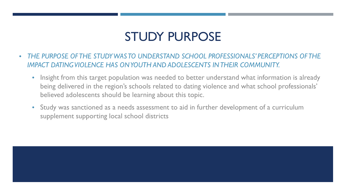# STUDY PURPOSE

- *THE PURPOSE OF THE STUDY WAS TO UNDERSTAND SCHOOL PROFESSIONALS' PERCEPTIONS OF THE IMPACT DATING VIOLENCE HAS ON YOUTH AND ADOLESCENTS IN THEIR COMMUNITY.* 
	- Insight from this target population was needed to better understand what information is already being delivered in the region's schools related to dating violence and what school professionals' believed adolescents should be learning about this topic.
	- Study was sanctioned as a needs assessment to aid in further development of a curriculum supplement supporting local school districts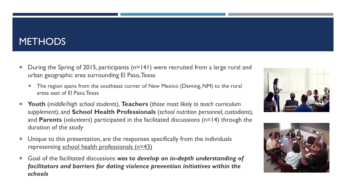### **METHODS**

- During the Spring of 2015, participants (n=141) were recruited from a large rural and urban geographic area surrounding El Paso, Texas
	- **The region spans from the southeast corner of New Mexico (Deming, NM) to the rural** areas east of El Paso, Texas
- **Youth** (*middle/high school students*), **Teachers** (*those most likely to teach curriculum supplement*), and **School Health Professionals** (*school nutrition personnel, custodians*), and **Parents** (*volunteers*) participated in the facilitated discussions (n=14) through the duration of the study
- **Unique to this presentation, are the responses specifically from the individuals** representing school health professionals (n=43)
- Goal of the facilitated discussions was to develop an in-depth understanding of *facilitators and barriers for dating violence prevention initiatives within the schools*



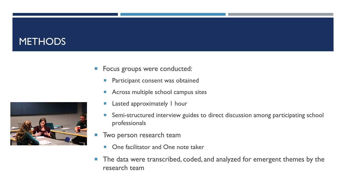## **METHODS**



- **Participant consent was obtained**
- **Across multiple school campus sites**
- **Lasted approximately I hour**
- **Semi-structured interview guides to direct discussion among participating school** professionals
- **Two person research team** 
	- One facilitator and One note taker
- **The data were transcribed, coded, and analyzed for emergent themes by the** research team

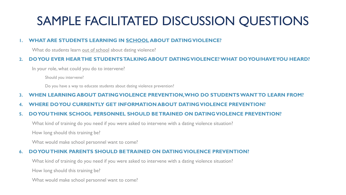# SAMPLE FACILITATED DISCUSSION QUESTIONS

#### **1. WHAT ARE STUDENTS LEARNING IN SCHOOL ABOUT DATING VIOLENCE?**

What do students learn out of school about dating violence?

#### **2. DO YOU EVER HEAR THE STUDENTS TALKING ABOUT DATING VIOLENCE? WHAT DO YOU/HAVE YOU HEARD?**

In your role, what could you do to intervene?

Should you intervene?

Do you have a way to educate students about dating violence prevention?

#### **3. WHEN LEARNING ABOUT DATING VIOLENCE PREVENTION, WHO DO STUDENTS WANT TO LEARN FROM?**

**4. WHERE DO YOU CURRENTLY GET INFORMATION ABOUT DATING VIOLENCE PREVENTION?**

#### **5. DO YOU THINK SCHOOL PERSONNEL SHOULD BE TRAINED ON DATING VIOLENCE PREVENTION?**

What kind of training do you need if you were asked to intervene with a dating violence situation?

How long should this training be?

What would make school personnel want to come?

#### **6. DO YOU THINK PARENTS SHOULD BE TRAINED ON DATING VIOLENCE PREVENTION?**

What kind of training do you need if you were asked to intervene with a dating violence situation?

How long should this training be?

What would make school personnel want to come?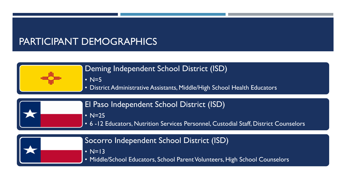### PARTICIPANT DEMOGRAPHICS



• N=5

• District Administrative Assistants, Middle/High School Health Educators



El Paso Independent School District (ISD)

 $\overline{\bullet}$  N=25

• 6 -12 Educators, Nutrition Services Personnel, Custodial Staff, District Counselors

|  | So |
|--|----|
|  |    |
|  |    |

### corro Independent School District (ISD)

 $l = 13$ 

• Middle/School Educators, School Parent Volunteers, High School Counselors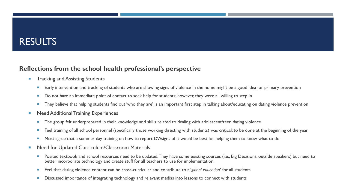### **RESULTS**

### **Reflections from the school health professional's perspective**

- **Tracking and Assisting Students** 
	- **Early intervention and tracking of students who are showing signs of violence in the home might be a good idea for primary prevention**
	- Do not have an immediate point of contact to seek help for students; however, they were all willing to step in
	- **They believe that helping students find out 'who they are' is an important first step in talking about/educating on dating violence prevention**
- **Need Additional Training Experiences** 
	- The group felt underprepared in their knowledge and skills related to dealing with adolescent/teen dating violence
	- Feel training of all school personnel (specifically those working directing with students) was critical; to be done at the beginning of the year
	- Most agree that a summer day training on how to report DV/signs of it would be best for helping them to know what to do
- Need for Updated Curriculum/Classroom Materials
	- **Posited textbook and school resources need to be updated. They have some existing sources (i.e., Big Decisions, outside speakers) but need to** better incorporate technology and create stuff for all teachers to use for implementation.
	- Feel that dating violence content can be cross-curricular and contribute to a '*global education*' for all students
	- Discussed importance of integrating technology and relevant medias into lessons to connect with students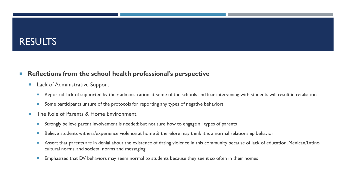### RESULTS

### **Reflections from the school health professional's perspective**

- **Lack of Administrative Support** 
	- Reported lack of supported by their administration at some of the schools and fear intervening with students will result in retaliation
	- Some participants unsure of the protocols for reporting any types of negative behaviors
- The Role of Parents & Home Environment
	- **Strongly believe parent involvement is needed; but not sure how to engage all types of parents**
	- Believe students witness/experience violence at home & therefore may think it is a normal relationship behavior
	- **Assert that parents are in denial about the existence of dating violence in this community because of lack of education, Mexican/Latino** cultural norms, and societal norms and messaging
	- **Emphasized that DV behaviors may seem normal to students because they see it so often in their homes**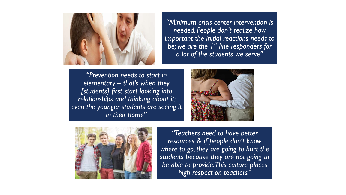

*"Minimum crisis center intervention is needed. People don't realize how important the initial reactions needs to be; we are the 1st line responders for a lot of the students we serve"*

*"Prevention needs to start in elementary – that's when they [students] first start looking into relationships and thinking about it; even the younger students are seeing it in their home*"





*"Teachers need to have better resources & if people don't know where to go, they are going to hurt the students because they are not going to be able to provide. This culture places high respect on teachers"*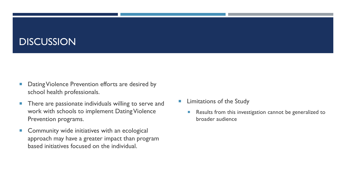### **DISCUSSION**

- Dating Violence Prevention efforts are desired by school health professionals.
- **There are passionate individuals willing to serve and** work with schools to implement Dating Violence Prevention programs.
- **Community wide initiatives with an ecological** approach may have a greater impact than program based initiatives focused on the individual.
- **E** Limitations of the Study
	- Results from this investigation cannot be generalized to broader audience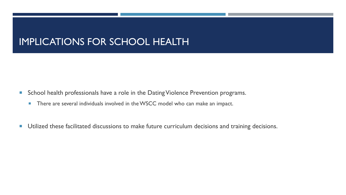## IMPLICATIONS FOR SCHOOL HEALTH

- **School health professionals have a role in the Dating Violence Prevention programs.** 
	- **There are several individuals involved in the WSCC model who can make an impact.**
- **Utilized these facilitated discussions to make future curriculum decisions and training decisions.**